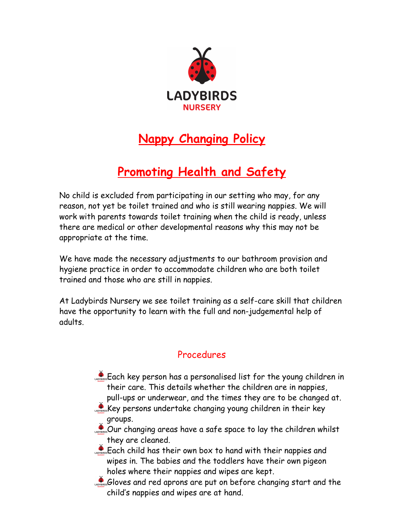

## **Nappy Changing Policy**

## **Promoting Health and Safety**

No child is excluded from participating in our setting who may, for any reason, not yet be toilet trained and who is still wearing nappies. We will work with parents towards toilet training when the child is ready, unless there are medical or other developmental reasons why this may not be appropriate at the time.

We have made the necessary adjustments to our bathroom provision and hygiene practice in order to accommodate children who are both toilet trained and those who are still in nappies.

At Ladybirds Nursery we see toilet training as a self-care skill that children have the opportunity to learn with the full and non-judgemental help of adults.

## Procedures

- Each key person has a personalised list for the young children in their care. This details whether the children are in nappies, pull-ups or underwear, and the times they are to be changed at.
- Key persons undertake changing young children in their key groups.
- Our changing areas have a safe space to lay the children whilst they are cleaned.
- Each child has their own box to hand with their nappies and wipes in. The babies and the toddlers have their own pigeon holes where their nappies and wipes are kept.
- Gloves and red aprons are put on before changing start and the child's nappies and wipes are at hand.